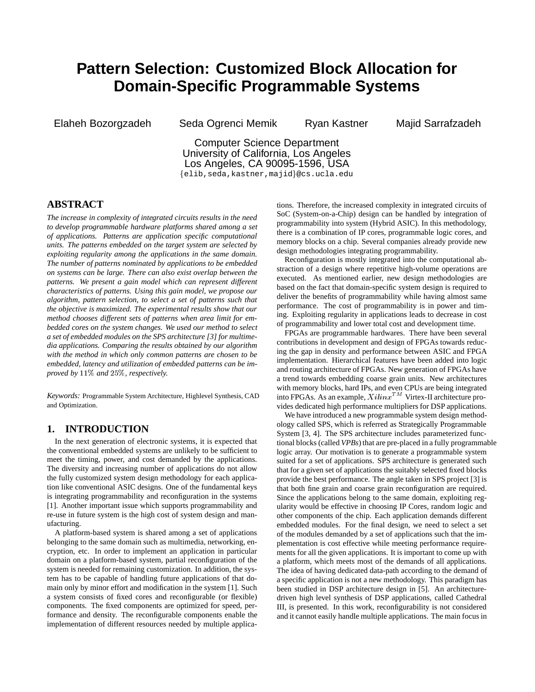# **Pattern Selection: Customized Block Allocation for Domain-Specific Programmable Systems**

Elaheh Bozorgzadeh Seda Ogrenci Memik Ryan Kastner Majid Sarrafzadeh

Computer Science Department University of California, Los Angeles Los Angeles, CA 90095-1596, USA {elib, seda, kastner, majid}@cs.ucla.edu

## **ABSTRACT**

*The increase in complexity of integrated circuits results in the need to develop programmable hardware platforms shared among a set of applications. Patterns are application specific computational units. The patterns embedded on the target system are selected by exploiting regularity among the applications in the same domain. The number of patterns nominated by applications to be embedded on systems can be large. There can also exist overlap between the patterns. We present a gain model which can represent different characteristics of patterns. Using this gain model, we propose our algorithm, pattern selection, to select a set of patterns such that the objective is maximized. The experimental results show that our method chooses different sets of patterns when area limit for embedded cores on the system changes. We used our method to select a set of embedded modules on the SPS architecture [3] for multimedia applications. Comparing the results obtained by our algorithm with the method in which only common patterns are chosen to be embedded, latency and utilization of embedded patterns can be improved by*  $11\%$  and  $25\%$ , respectively.

*Keywords:* Programmable System Architecture, Highlevel Synthesis, CAD and Optimization.

## **1. INTRODUCTION**

In the next generation of electronic systems, it is expected that the conventional embedded systems are unlikely to be sufficient to meet the timing, power, and cost demanded by the applications. The diversity and increasing number of applications do not allow the fully customized system design methodology for each application like conventional ASIC designs. One of the fundamental keys is integrating programmability and reconfiguration in the systems [1]. Another important issue which supports programmability and re-use in future system is the high cost of system design and manufacturing.

A platform-based system is shared among a set of applications belonging to the same domain such as multimedia, networking, encryption, etc. In order to implement an application in particular domain on a platform-based system, partial reconfiguration of the system is needed for remaining customization. In addition, the system has to be capable of handling future applications of that domain only by minor effort and modification in the system [1]. Such a system consists of fixed cores and reconfigurable (or flexible) components. The fixed components are optimized for speed, performance and density. The reconfigurable components enable the implementation of different resources needed by multiple applications. Therefore, the increased complexity in integrated circuits of SoC (System-on-a-Chip) design can be handled by integration of programmability into system (Hybrid ASIC). In this methodology, there is a combination of IP cores, programmable logic cores, and memory blocks on a chip. Several companies already provide new design methodologies integrating programmability.

Reconfiguration is mostly integrated into the computational abstraction of a design where repetitive high-volume operations are executed. As mentioned earlier, new design methodologies are based on the fact that domain-specific system design is required to deliver the benefits of programmability while having almost same performance. The cost of programmability is in power and timing. Exploiting regularity in applications leads to decrease in cost of programmability and lower total cost and development time.

FPGAs are programmable hardwares. There have been several contributions in development and design of FPGAs towards reducing the gap in density and performance between ASIC and FPGA implementation. Hierarchical features have been added into logic and routing architecture of FPGAs. New generation of FPGAs have a trend towards embedding coarse grain units. New architectures with memory blocks, hard IPs, and even CPUs are being integrated into FPGAs. As an example,  $X \, \text{i} \, \text{i} \, \text{in} \, x^{TM}$  Virtex-II architecture provides dedicated high performance multipliers for DSP applications.

We have introduced a new programmable system design methodology called SPS, which is referred as Strategically Programmable System [3, 4]. The SPS architecture includes parameterized functional blocks (called *VPBs*) that are pre-placed in a fully programmable logic array. Our motivation is to generate a programmable system suited for a set of applications. SPS architecture is generated such that for a given set of applications the suitably selected fixed blocks provide the best performance. The angle taken in SPS project [3] is that both fine grain and coarse grain reconfiguration are required. Since the applications belong to the same domain, exploiting regularity would be effective in choosing IP Cores, random logic and other components of the chip. Each application demands different embedded modules. For the final design, we need to select a set of the modules demanded by a set of applications such that the implementation is cost effective while meeting performance requirements for all the given applications. It is important to come up with a platform, which meets most of the demands of all applications. The idea of having dedicated data-path according to the demand of a specific application is not a new methodology. This paradigm has been studied in DSP architecture design in [5]. An architecturedriven high level synthesis of DSP applications, called Cathedral III, is presented. In this work, reconfigurability is not considered and it cannot easily handle multiple applications. The main focus in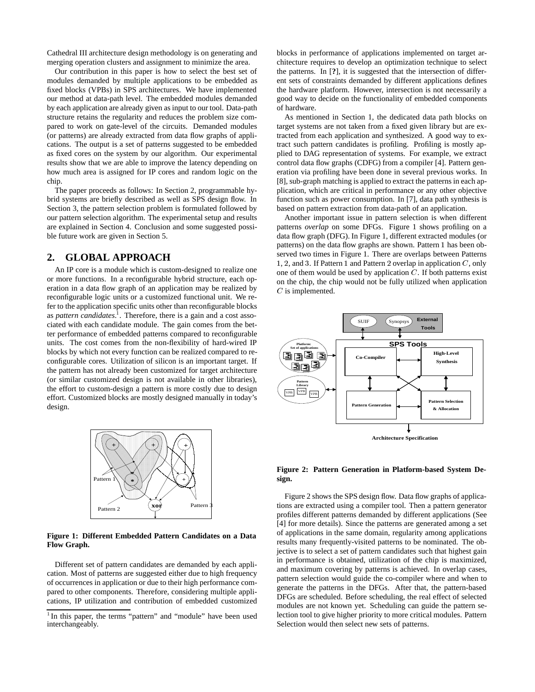Cathedral III architecture design methodology is on generating and merging operation clusters and assignment to minimize the area.

Our contribution in this paper is how to select the best set of modules demanded by multiple applications to be embedded as fixed blocks (VPBs) in SPS architectures. We have implemented our method at data-path level. The embedded modules demanded by each application are already given as input to our tool. Data-path structure retains the regularity and reduces the problem size compared to work on gate-level of the circuits. Demanded modules (or patterns) are already extracted from data flow graphs of applications. The output is a set of patterns suggested to be embedded as fixed cores on the system by our algorithm. Our experimental results show that we are able to improve the latency depending on how much area is assigned for IP cores and random logic on the chip.

The paper proceeds as follows: In Section 2, programmable hybrid systems are briefly described as well as SPS design flow. In Section 3, the pattern selection problem is formulated followed by our pattern selection algorithm. The experimental setup and results are explained in Section 4. Conclusion and some suggested possible future work are given in Section 5.

## **2. GLOBAL APPROACH**

An IP core is a module which is custom-designed to realize one or more functions. In a reconfigurable hybrid structure, each operation in a data flow graph of an application may be realized by reconfigurable logic units or a customized functional unit. We refer to the application specific units other than reconfigurable blocks as *pattern candidates*. 1 . Therefore, there is a gain and a cost associated with each candidate module. The gain comes from the better performance of embedded patterns compared to reconfigurable units. The cost comes from the non-flexibility of hard-wired IP blocks by which not every function can be realized compared to reconfigurable cores. Utilization of silicon is an important target. If the pattern has not already been customized for target architecture (or similar customized design is not available in other libraries), the effort to custom-design a pattern is more costly due to design effort. Customized blocks are mostly designed manually in today's design.



#### **Figure 1: Different Embedded Pattern Candidates on a Data Flow Graph.**

Different set of pattern candidates are demanded by each application. Most of patterns are suggested either due to high frequency of occurrences in application or due to their high performance compared to other components. Therefore, considering multiple applications, IP utilization and contribution of embedded customized blocks in performance of applications implemented on target architecture requires to develop an optimization technique to select the patterns. In [**?**], it is suggested that the intersection of different sets of constraints demanded by different applications defines the hardware platform. However, intersection is not necessarily a good way to decide on the functionality of embedded components of hardware.

As mentioned in Section 1, the dedicated data path blocks on target systems are not taken from a fixed given library but are extracted from each application and synthesized. A good way to extract such pattern candidates is profiling. Profiling is mostly applied to DAG representation of systems. For example, we extract control data flow graphs (CDFG) from a compiler [4]. Pattern generation via profiling have been done in several previous works. In [8], sub-graph matching is applied to extract the patterns in each application, which are critical in performance or any other objective function such as power consumption. In [7], data path synthesis is based on pattern extraction from data-path of an application.

Another important issue in pattern selection is when different patterns *overlap* on some DFGs. Figure 1 shows profiling on a data flow graph (DFG). In Figure 1, different extracted modules (or patterns) on the data flow graphs are shown. Pattern 1 has been observed two times in Figure 1. There are overlaps between Patterns 1, 2, and 3. If Pattern 1 and Pattern 2 overlap in application  $C$ , only one of them would be used by application  $C$ . If both patterns exist on the chip, the chip would not be fully utilized when application  $C$  is implemented.



#### **Figure 2: Pattern Generation in Platform-based System Design.**

Figure 2 shows the SPS design flow. Data flow graphs of applications are extracted using a compiler tool. Then a pattern generator profiles different patterns demanded by different applications (See [4] for more details). Since the patterns are generated among a set of applications in the same domain, regularity among applications results many frequently-visited patterns to be nominated. The objective is to select a set of pattern candidates such that highest gain in performance is obtained, utilization of the chip is maximized, and maximum covering by patterns is achieved. In overlap cases, pattern selection would guide the co-compiler where and when to generate the patterns in the DFGs. After that, the pattern-based DFGs are scheduled. Before scheduling, the real effect of selected modules are not known yet. Scheduling can guide the pattern selection tool to give higher priority to more critical modules. Pattern Selection would then select new sets of patterns.

<sup>&</sup>lt;sup>1</sup>In this paper, the terms "pattern" and "module" have been used interchangeably.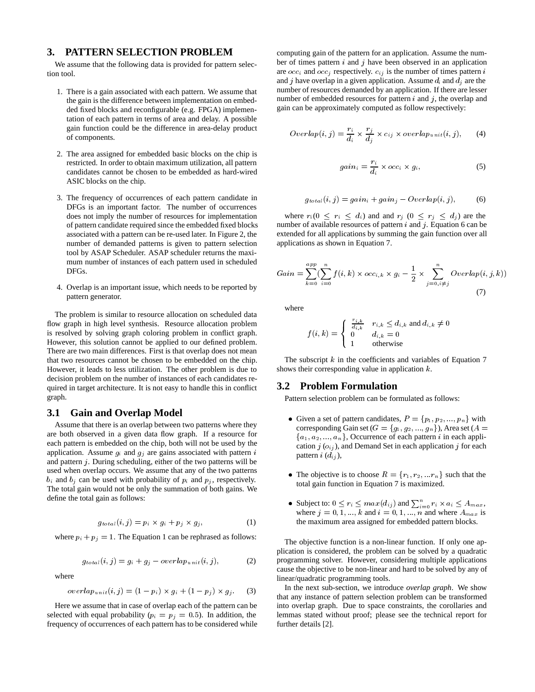### **3. PATTERN SELECTION PROBLEM**

We assume that the following data is provided for pattern selection tool.

- 1. There is a gain associated with each pattern. We assume that the gain is the difference between implementation on embedded fixed blocks and reconfigurable (e.g. FPGA) implementation of each pattern in terms of area and delay. A possible gain function could be the difference in area-delay product of components.
- 2. The area assigned for embedded basic blocks on the chip is restricted. In order to obtain maximum utilization, all pattern candidates cannot be chosen to be embedded as hard-wired ASIC blocks on the chip.
- 3. The frequency of occurrences of each pattern candidate in DFGs is an important factor. The number of occurrences does not imply the number of resources for implementation of pattern candidate required since the embedded fixed blocks associated with a pattern can be re-used later. In Figure 2, the number of demanded patterns is given to pattern selection tool by ASAP Scheduler. ASAP scheduler returns the maximum number of instances of each pattern used in scheduled DFGs.
- 4. Overlap is an important issue, which needs to be reported by pattern generator.

The problem is similar to resource allocation on scheduled data flow graph in high level synthesis. Resource allocation problem is resolved by solving graph coloring problem in conflict graph. However, this solution cannot be applied to our defined problem. There are two main differences. First is that overlap does not mean that two resources cannot be chosen to be embedded on the chip. However, it leads to less utilization. The other problem is due to decision problem on the number of instances of each candidates required in target architecture. It is not easy to handle this in conflict graph.

## **3.1 Gain and Overlap Model**

Assume that there is an overlap between two patterns where they are both observed in a given data flow graph. If a resource for each pattern is embedded on the chip, both will not be used by the application. Assume  $g_i$  and  $g_j$  are gains associated with pattern i and pattern  $j$ . During scheduling, either of the two patterns will be used when overlap occurs. We assume that any of the two patterns  $b_i$  and  $b_j$  can be used with probability of  $p_i$  and  $p_j$ , respectively. The total gain would not be only the summation of both gains. We define the total gain as follows:

$$
g_{total}(i, j) = p_i \times g_i + p_j \times g_j,
$$
 (1)

where  $p_i + p_j = 1$ . The Equation 1 can be rephrased as follows:

$$
g_{total}(i,j) = g_i + g_j - overlap_{unit}(i,j),
$$
 (2)

where

$$
overlap_{unit}(i,j) = (1 - p_i) \times g_i + (1 - p_j) \times g_j. \tag{3}
$$

Here we assume that in case of overlap each of the pattern can be selected with equal probability ( $p_i = p_j = 0.5$ ). In addition, the frequency of occurrences of each pattern has to be considered while computing gain of the pattern for an application. Assume the number of times pattern  $i$  and  $j$  have been observed in an application are  $occ_i$  and  $occ_j$  respectively.  $c_{ij}$  is the number of times pattern i and j have overlap in a given application. Assume  $d_i$  and  $d_j$  are the number of resources demanded by an application. If there are lesser number of embedded resources for pattern  $i$  and  $j$ , the overlap and gain can be approximately computed as follow respectively:

$$
Overlap(i, j) = \frac{r_i}{d_i} \times \frac{r_j}{d_j} \times c_{ij} \times overlap_{unit}(i, j), \qquad (4)
$$

$$
gain_i = \frac{r_i}{d_i} \times occ_i \times g_i,
$$
 (5)

$$
g_{total}(i,j) = gain_i + gain_j - Overlap(i,j),
$$
 (6)

where  $r_i (0 \le r_i \le d_i)$  and and  $r_j (0 \le r_j \le d_j)$  are the number of available resources of pattern  $i$  and  $j$ . Equation 6 can be extended for all applications by summing the gain function over all applications as shown in Equation 7.

$$
Gain = \sum_{k=0}^{app} \left( \sum_{i=0}^{n} f(i,k) \times occ_{i,k} \times g_i - \frac{1}{2} \times \sum_{j=0, i \neq j}^{n} Overlap(i,j,k) \right)
$$
\n(7)

where

$$
f(i,k) = \begin{cases} \begin{array}{c} \frac{r_{i,k}}{d_{i,k}} & r_{i,k} \leq d_{i,k} \text{ and } d_{i,k} \neq 0\\ 0 & d_{i,k} = 0\\ 1 & \text{otherwise} \end{array} \end{cases}
$$

The subscript  $k$  in the coefficients and variables of Equation 7 shows their corresponding value in application  $k$ .

#### **3.2 Problem Formulation**

Pattern selection problem can be formulated as follows:

- Given a set of pattern candidates,  $P = \{p_1, p_2, ..., p_n\}$  with corresponding Gain set ( $G = \{g_1, g_2, ..., g_n\}$ ), Area set ( $A =$  ${a_1, a_2, ..., a_n}$ , Occurrence of each pattern i in each application  $j(\theta_{ij})$ , and Demand Set in each application  $j$  for each pattern  $i$   $(d_{ij})$ ,
- The objective is to choose  $R = \{r_1, r_2, \ldots r_n\}$  such that the total gain function in Equation 7 is maximized.
- Subject to:  $0 \le r_i \le max(d_{ij})$  and  $\sum_{i=0}^{n} r_i \times a_i \le A_{max}$ , where  $j = 0, 1, ..., k$  and  $i = 0, 1, ..., n$  and where  $A_{max}$  is the maximum area assigned for embedded pattern blocks.

The objective function is a non-linear function. If only one application is considered, the problem can be solved by a quadratic programming solver. However, considering multiple applications cause the objective to be non-linear and hard to be solved by any of linear/quadratic programming tools.

In the next sub-section, we introduce *overlap graph*. We show that any instance of pattern selection problem can be transformed into overlap graph. Due to space constraints, the corollaries and lemmas stated without proof; please see the technical report for further details [2].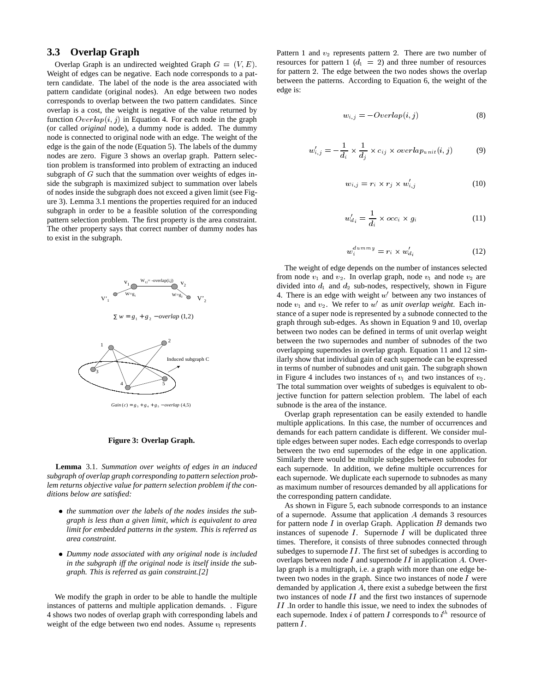## **3.3 Overlap Graph**

Overlap Graph is an undirected weighted Graph  $G = (V, E)$ . Weight of edges can be negative. Each node corresponds to a pattern candidate. The label of the node is the area associated with pattern candidate (original nodes). An edge between two nodes corresponds to overlap between the two pattern candidates. Since overlap is a cost, the weight is negative of the value returned by function  $\text{Overlap}(i, j)$  in Equation 4. For each node in the graph (or called *original* node), a dummy node is added. The dummy node is connected to original node with an edge. The weight of the edge is the gain of the node (Equation 5). The labels of the dummy nodes are zero. Figure 3 shows an overlap graph. Pattern selection problem is transformed into problem of extracting an induced subgraph of  $G$  such that the summation over weights of edges inside the subgraph is maximized subject to summation over labels of nodes inside the subgraph does not exceed a given limit (see Figure 3). Lemma 3.1 mentions the properties required for an induced subgraph in order to be a feasible solution of the corresponding pattern selection problem. The first property is the area constraint. The other property says that correct number of dummy nodes has to exist in the subgraph.



 $Gain (c) = g_3 + g_4 + g_5 - overlap (4,5)$ 

#### **Figure 3: Overlap Graph.**

**Lemma** 3.1. *Summation over weights of edges in an induced subgraph of overlap graph corresponding to pattern selection problem returns objective value for pattern selection problem if the conditions below are satisfied:*

- *the summation over the labels of the nodes insides the subgraph is less than a given limit, which is equivalent to area limit for embedded patterns in the system. This is referred as area constraint.*
- *Dummy node associated with any original node is included in the subgraph iff the original node is itself inside the subgraph. This is referred as gain constraint.[2]*

We modify the graph in order to be able to handle the multiple instances of patterns and multiple application demands. . Figure 4 shows two nodes of overlap graph with corresponding labels and weight of the edge between two end nodes. Assume  $v_1$  represents

Pattern 1 and  $v_2$  represents pattern 2. There are two number of resources for pattern 1  $(d_1 = 2)$  and three number of resources for pattern 2. The edge between the two nodes shows the overlap between the patterns. According to Equation 6, the weight of the edge is:

$$
w_{i,j} = -\text{Overlap}(i,j) \tag{8}
$$

$$
w'_{i,j} = -\frac{1}{d_i} \times \frac{1}{d_j} \times c_{ij} \times overlap_{unit}(i,j)
$$
 (9)

$$
w_{i,j} = r_i \times r_j \times w'_{i,j} \tag{10}
$$

$$
w'_{d_i} = \frac{1}{d_i} \times occ_i \times g_i \tag{11}
$$

$$
w_i^{dumm} = r_i \times w_{d_i}^\prime \tag{12}
$$

The weight of edge depends on the number of instances selected from node  $v_1$  and  $v_2$ . In overlap graph, node  $v_1$  and node  $v_2$  are divided into  $d_1$  and  $d_2$  sub-nodes, respectively, shown in Figure 4. There is an edge with weight  $w'$  between any two instances of node  $v_1$  and  $v_2$ . We refer to  $w'$  as *unit overlap weight*. Each instance of a super node is represented by a subnode connected to the graph through sub-edges. As shown in Equation 9 and 10, overlap between two nodes can be defined in terms of unit overlap weight between the two supernodes and number of subnodes of the two overlapping supernodes in overlap graph. Equation 11 and 12 similarly show that individual gain of each supernode can be expressed in terms of number of subnodes and unit gain. The subgraph shown in Figure 4 includes two instances of  $v_1$  and two instances of  $v_2$ . The total summation over weights of subedges is equivalent to objective function for pattern selection problem. The label of each subnode is the area of the instance.

Overlap graph representation can be easily extended to handle multiple applications. In this case, the number of occurrences and demands for each pattern candidate is different. We consider multiple edges between super nodes. Each edge corresponds to overlap between the two end supernodes of the edge in one application. Similarly there would be multiple subegdes between subnodes for each supernode. In addition, we define multiple occurrences for each supernode. We duplicate each supernode to subnodes as many as maximum number of resources demanded by all applications for the corresponding pattern candidate.

As shown in Figure 5, each subnode corresponds to an instance of a supernode. Assume that application  $A$  demands 3 resources for pattern node  $I$  in overlap Graph. Application  $B$  demands two instances of supenode  $I$ . Supernode  $I$  will be duplicated three times. Therefore, it consists of three subnodes connected through subedges to supernode  $II$ . The first set of subedges is according to overlaps between node  $I$  and supernode  $II$  in application  $A$ . Overlap graph is a multigraph, i.e. a graph with more than one edge between two nodes in the graph. Since two instances of node I were demanded by application  $A$ , there exist a subedge between the first two instances of node  $II$  and the first two instances of supernode  $II$ . In order to handle this issue, we need to index the subnodes of each supernode. Index *i* of pattern *I* corresponds to  $i<sup>th</sup>$  resource of pattern  $I$ .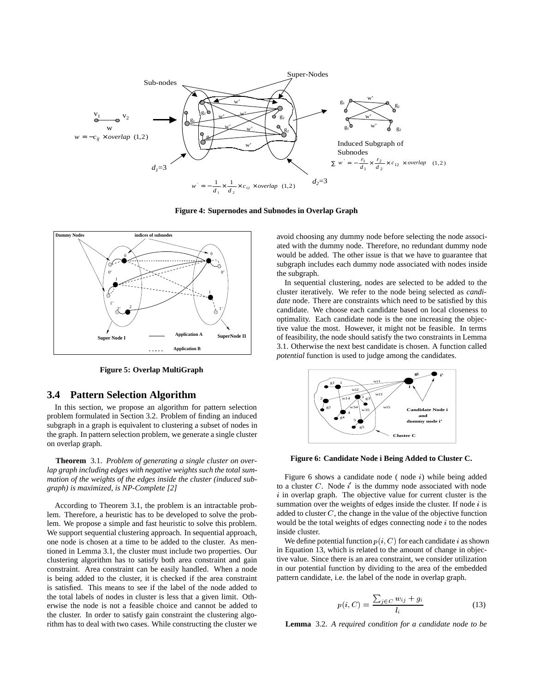

**Figure 4: Supernodes and Subnodes in Overlap Graph**



**Figure 5: Overlap MultiGraph**

## **3.4 Pattern Selection Algorithm**

In this section, we propose an algorithm for pattern selection problem formulated in Section 3.2. Problem of finding an induced subgraph in a graph is equivalent to clustering a subset of nodes in the graph. In pattern selection problem, we generate a single cluster on overlap graph.

**Theorem** 3.1. *Problem of generating a single cluster on overlap graph including edges with negative weights such the total summation of the weights of the edges inside the cluster (induced subgraph) is maximized, is NP-Complete [2]*

According to Theorem 3.1, the problem is an intractable problem. Therefore, a heuristic has to be developed to solve the problem. We propose a simple and fast heuristic to solve this problem. We support sequential clustering approach. In sequential approach, one node is chosen at a time to be added to the cluster. As mentioned in Lemma 3.1, the cluster must include two properties. Our clustering algorithm has to satisfy both area constraint and gain constraint. Area constraint can be easily handled. When a node is being added to the cluster, it is checked if the area constraint is satisfied. This means to see if the label of the node added to the total labels of nodes in cluster is less that a given limit. Otherwise the node is not a feasible choice and cannot be added to the cluster. In order to satisfy gain constraint the clustering algorithm has to deal with two cases. While constructing the cluster we

avoid choosing any dummy node before selecting the node associated with the dummy node. Therefore, no redundant dummy node would be added. The other issue is that we have to guarantee that subgraph includes each dummy node associated with nodes inside the subgraph.

In sequential clustering, nodes are selected to be added to the cluster iteratively. We refer to the node being selected as *candidate* node. There are constraints which need to be satisfied by this candidate. We choose each candidate based on local closeness to optimality. Each candidate node is the one increasing the objective value the most. However, it might not be feasible. In terms of feasibility, the node should satisfy the two constraints in Lemma 3.1. Otherwise the next best candidate is chosen. A function called *potential* function is used to judge among the candidates.



**Figure 6: Candidate Node i Being Added to Cluster C.**

Figure 6 shows a candidate node (node  $i$ ) while being added to a cluster C. Node  $i'$  is the dummy node associated with node  $i$  in overlap graph. The objective value for current cluster is the summation over the weights of edges inside the cluster. If node  $i$  is added to cluster  $C$ , the change in the value of the objective function would be the total weights of edges connecting node  $i$  to the nodes inside cluster.

We define potential function  $p(i, C)$  for each candidate i as shown in Equation 13, which is related to the amount of change in objective value. Since there is an area constraint, we consider utilization in our potential function by dividing to the area of the embedded pattern candidate, i.e. the label of the node in overlap graph.

$$
p(i, C) = \frac{\sum_{j \in C} w_{ij} + g_i}{l_i} \tag{13}
$$

**Lemma** 3.2. *A required condition for a candidate node to be*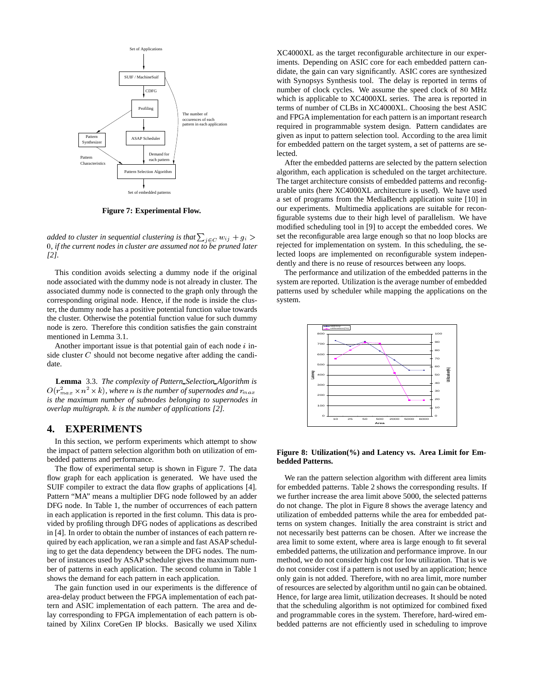

**Figure 7: Experimental Flow.**

*added to cluster in sequential clustering is that*  $\sum_{j \in C} w_{ij} + g_i$  > set *, if the current nodes in cluster are assumed not to be pruned later [2].*

This condition avoids selecting a dummy node if the original node associated with the dummy node is not already in cluster. The associated dummy node is connected to the graph only through the corresponding original node. Hence, if the node is inside the cluster, the dummy node has a positive potential function value towards the cluster. Otherwise the potential function value for such dummy node is zero. Therefore this condition satisfies the gain constraint mentioned in Lemma 3.1.

Another important issue is that potential gain of each node  $i$  inside cluster C should not become negative after adding the candidate.

**Lemma** 3.3. *The complexity of Pattern Selection Algorithm is*  $O(r_{max}^2 \times n^2 \times k)$ , where  $n$  is the number of supernodes and  $r_{max}$ *is the maximum number of subnodes belonging to supernodes in overlap multigraph.* k *is the number of applications [2].*

#### **4. EXPERIMENTS**

In this section, we perform experiments which attempt to show the impact of pattern selection algorithm both on utilization of embedded patterns and performance.

The flow of experimental setup is shown in Figure 7. The data flow graph for each application is generated. We have used the SUIF compiler to extract the data flow graphs of applications [4]. Pattern "MA" means a multiplier DFG node followed by an adder DFG node. In Table 1, the number of occurrences of each pattern in each application is reported in the first column. This data is provided by profiling through DFG nodes of applications as described in [4]. In order to obtain the number of instances of each pattern required by each application, we ran a simple and fast ASAP scheduling to get the data dependency between the DFG nodes. The number of instances used by ASAP scheduler gives the maximum number of patterns in each application. The second column in Table 1 shows the demand for each pattern in each application.

The gain function used in our experiments is the difference of area-delay product between the FPGA implementation of each pattern and ASIC implementation of each pattern. The area and delay corresponding to FPGA implementation of each pattern is obtained by Xilinx CoreGen IP blocks. Basically we used Xilinx

XC4000XL as the target reconfigurable architecture in our experiments. Depending on ASIC core for each embedded pattern candidate, the gain can vary significantly. ASIC cores are synthesized with Synopsys Synthesis tool. The delay is reported in terms of number of clock cycles. We assume the speed clock of 80 MHz which is applicable to XC4000XL series. The area is reported in terms of number of CLBs in XC4000XL. Choosing the best ASIC and FPGA implementation for each pattern is an important research required in programmable system design. Pattern candidates are given as input to pattern selection tool. According to the area limit for embedded pattern on the target system, a set of patterns are selected.

 set the reconfigurable area large enough so that no loop blocks are After the embedded patterns are selected by the pattern selection algorithm, each application is scheduled on the target architecture. The target architecture consists of embedded patterns and reconfigurable units (here XC4000XL architecture is used). We have used a set of programs from the MediaBench application suite [10] in our experiments. Multimedia applications are suitable for reconfigurable systems due to their high level of parallelism. We have modified scheduling tool in [9] to accept the embedded cores. We rejected for implementation on system. In this scheduling, the selected loops are implemented on reconfigurable system independently and there is no reuse of resources between any loops.

The performance and utilization of the embedded patterns in the system are reported. Utilization is the average number of embedded patterns used by scheduler while mapping the applications on the system.



**Figure 8: Utilization(%) and Latency vs. Area Limit for Embedded Patterns.**

We ran the pattern selection algorithm with different area limits for embedded patterns. Table 2 shows the corresponding results. If we further increase the area limit above 5000, the selected patterns do not change. The plot in Figure 8 shows the average latency and utilization of embedded patterns while the area for embedded patterns on system changes. Initially the area constraint is strict and not necessarily best patterns can be chosen. After we increase the area limit to some extent, where area is large enough to fit several embedded patterns, the utilization and performance improve. In our method, we do not consider high cost for low utilization. That is we do not consider cost if a pattern is not used by an application; hence only gain is not added. Therefore, with no area limit, more number of resources are selected by algorithm until no gain can be obtained. Hence, for large area limit, utilization decreases. It should be noted that the scheduling algorithm is not optimized for combined fixed and programmable cores in the system. Therefore, hard-wired embedded patterns are not efficiently used in scheduling to improve